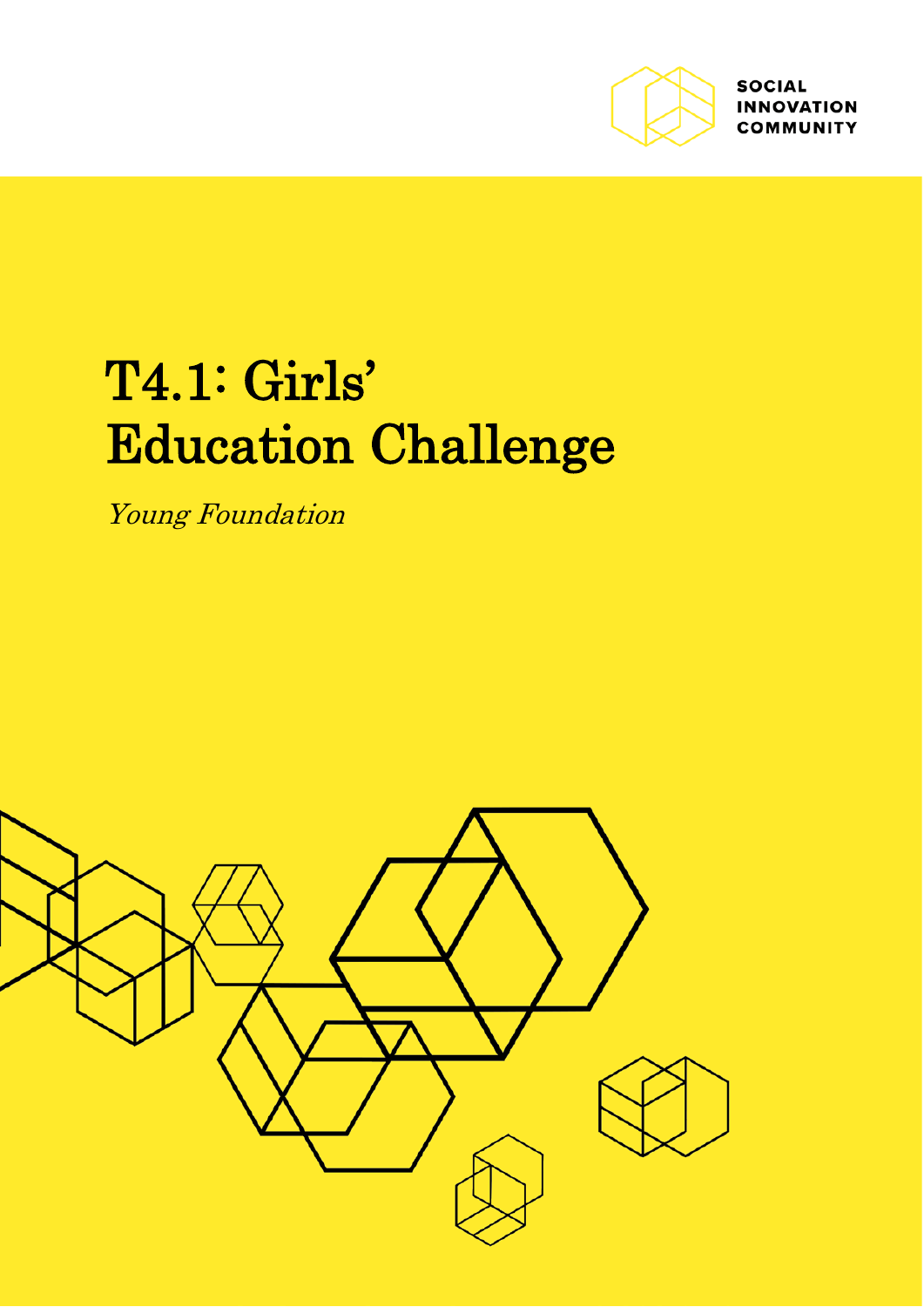

**SOCIAL INNOVATION COMMUNITY** 

# T4.1: Girls' Education Challenge

Young Foundation

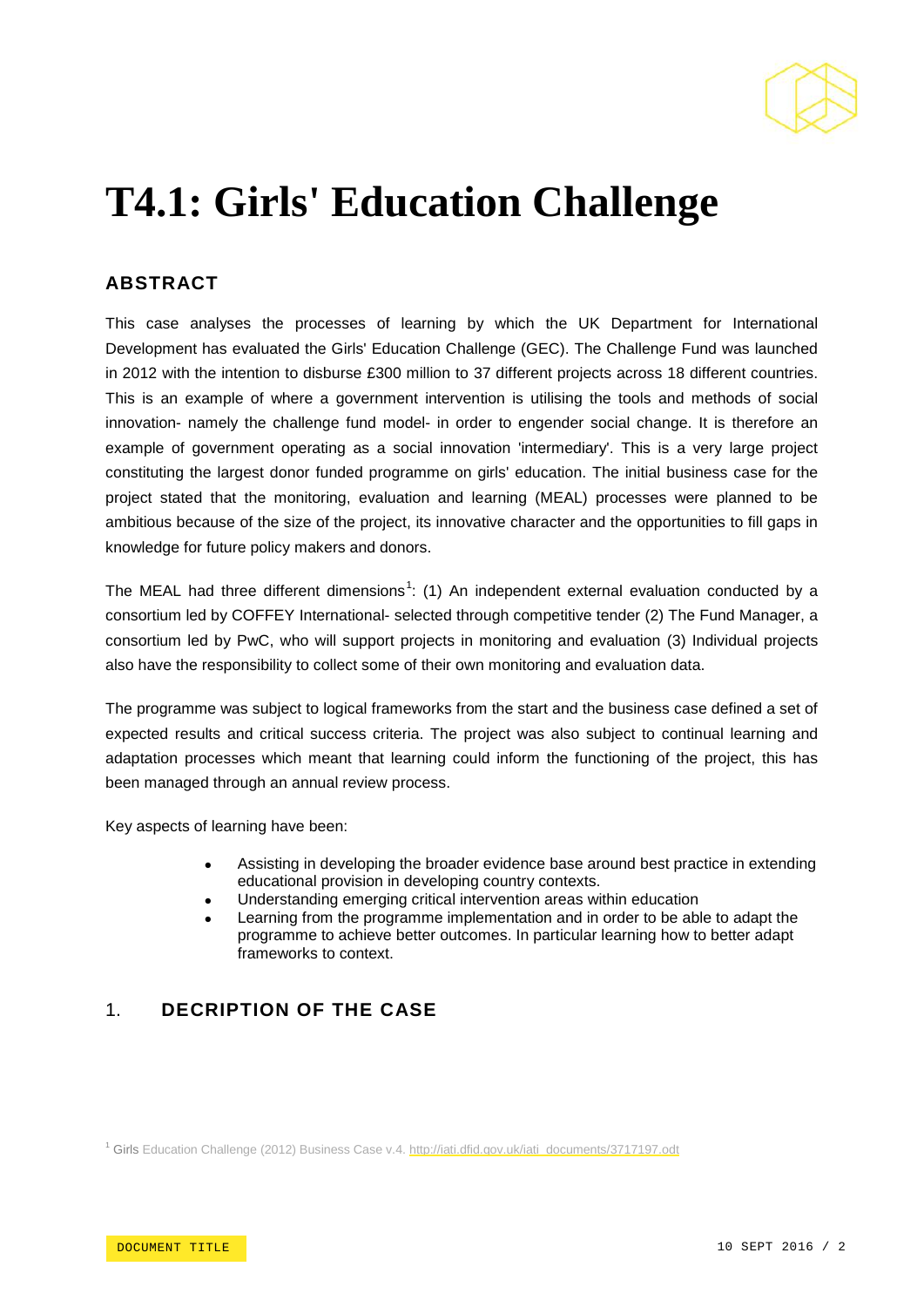

# **T4.1: Girls' Education Challenge**

# **ABSTRACT**

This case analyses the processes of learning by which the UK Department for International Development has evaluated the Girls' Education Challenge (GEC). The Challenge Fund was launched in 2012 with the intention to disburse £300 million to 37 different projects across 18 different countries. This is an example of where a government intervention is utilising the tools and methods of social innovation- namely the challenge fund model- in order to engender social change. It is therefore an example of government operating as a social innovation 'intermediary'. This is a very large project constituting the largest donor funded programme on girls' education. The initial business case for the project stated that the monitoring, evaluation and learning (MEAL) processes were planned to be ambitious because of the size of the project, its innovative character and the opportunities to fill gaps in knowledge for future policy makers and donors.

The MEAL had three different dimensions<sup>[1](#page-1-0)</sup>: (1) An independent external evaluation conducted by a consortium led by COFFEY International- selected through competitive tender (2) The Fund Manager, a consortium led by PwC, who will support projects in monitoring and evaluation (3) Individual projects also have the responsibility to collect some of their own monitoring and evaluation data.

The programme was subject to logical frameworks from the start and the business case defined a set of expected results and critical success criteria. The project was also subject to continual learning and adaptation processes which meant that learning could inform the functioning of the project, this has been managed through an annual review process.

Key aspects of learning have been:

- Assisting in developing the broader evidence base around best practice in extending educational provision in developing country contexts.
- Understanding emerging critical intervention areas within education
- Learning from the programme implementation and in order to be able to adapt the programme to achieve better outcomes. In particular learning how to better adapt frameworks to context.

# 1. **DECRIPTION OF THE CASE**

<span id="page-1-0"></span><sup>1</sup> Girls Education Challenge (2012) Business Case v.4. [http://iati.dfid.gov.uk/iati\\_documents/3717197.odt](http://iati.dfid.gov.uk/iati_documents/3717197.odt)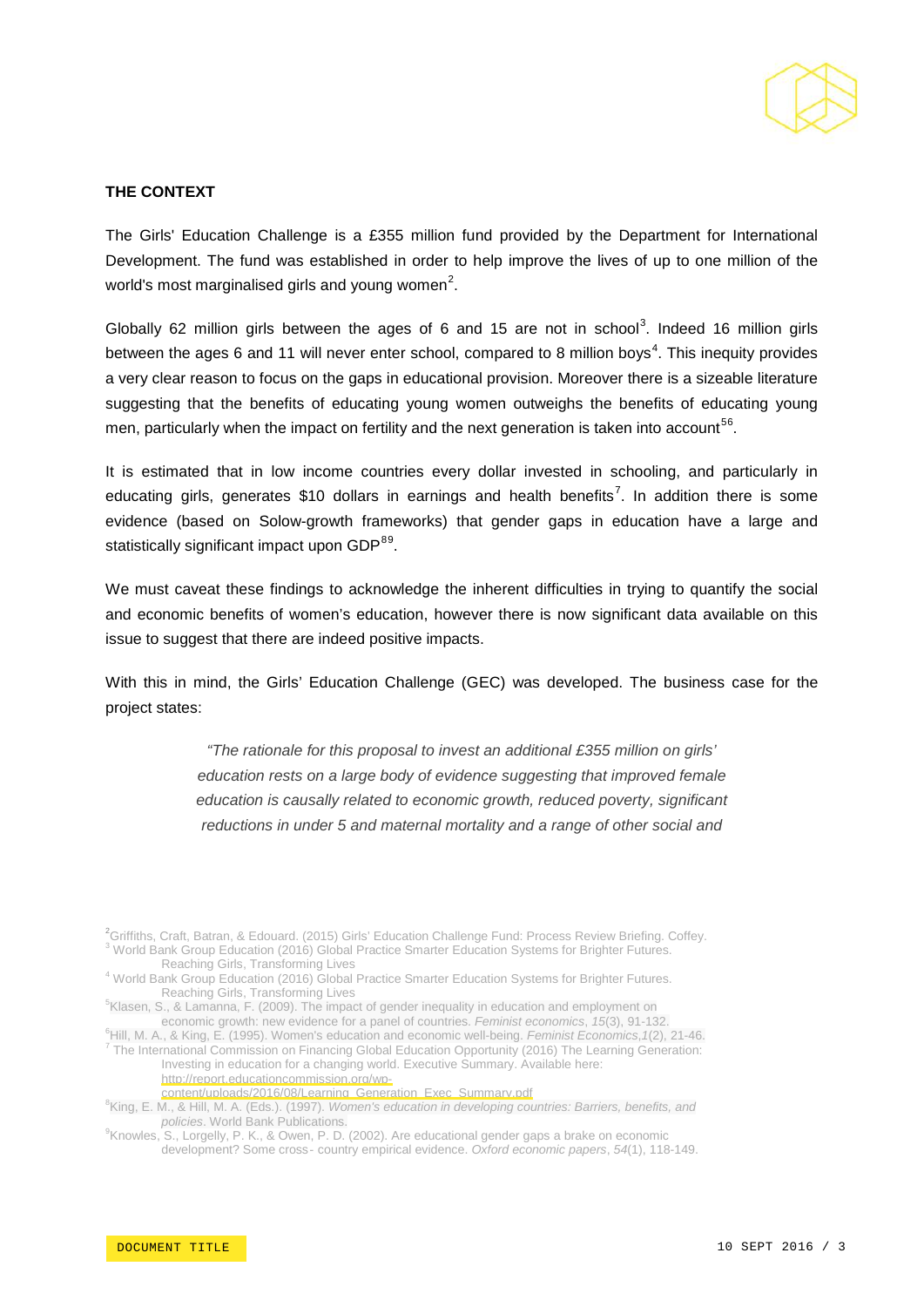

#### **THE CONTEXT**

The Girls' Education Challenge is a £355 million fund provided by the Department for International Development. The fund was established in order to help improve the lives of up to one million of the world's most marginalised girls and young women<sup>[2](#page-2-0)</sup>.

Globally 62 million girls between the ages of 6 and 15 are not in school<sup>[3](#page-2-0)</sup>. Indeed 16 million girls between the ages 6 and 11 will never enter school, compared to 8 million boys<sup>[4](#page-2-0)</sup>. This inequity provides a very clear reason to focus on the gaps in educational provision. Moreover there is a sizeable literature suggesting that the benefits of educating young women outweighs the benefits of educating young men, particularly when the impact on fertility and the next generation is taken into account  $^{56}$  $^{56}$  $^{56}$ .

It is estimated that in low income countries every dollar invested in schooling, and particularly in educating girls, generates \$10 dollars in earnings and health benefits<sup>[7](#page-2-0)</sup>. In addition there is some evidence (based on Solow-growth frameworks) that gender gaps in education have a large and statistically significant impact upon GDP<sup>[89](#page-2-0)</sup>.

We must caveat these findings to acknowledge the inherent difficulties in trying to quantify the social and economic benefits of women's education, however there is now significant data available on this issue to suggest that there are indeed positive impacts.

With this in mind, the Girls' Education Challenge (GEC) was developed. The business case for the project states:

> *"The rationale for this proposal to invest an additional £355 million on girls' education rests on a large body of evidence suggesting that improved female education is causally related to economic growth, reduced poverty, significant reductions in under 5 and maternal mortality and a range of other social and*

<span id="page-2-0"></span><sup>2</sup>Griffiths, Craft, Batran, & Edouard. (2015) Girls' Education Challenge Fund: Process Review Briefing. Coffey.  $\frac{3}{3}$  World Bank Group Education (2016) Global Practice Smarter Education Systems for Brighter Futures.<br>Reaching Girls, Transforming Lives

 $5$ Klasen, S., & Lamanna, F. (2009). The impact of gender inequality in education and employment on

economic growth: new evidence for a panel of countries. *Feminist economics*, 15(3), 91-132.<br><sup>6</sup>Hill, M. A., & King, E. (1995). Women's education and economic well-being. *Feminist Economics*, 1(2), 21-46. <sup>7</sup> The International Commission on Financing Global Education Opportunity (2016) The Learning Generation: Investing in education for a changing world. Executive Summary. Available here: [http://report.educationcommission.org/wp-](http://report.educationcommission.org/wp-content/uploads/2016/08/Learning_Generation_Exec_Summary.pdf)

[content/uploads/2016/08/Learning\\_Generation\\_Exec\\_Summary.pdf](http://report.educationcommission.org/wp-content/uploads/2016/08/Learning_Generation_Exec_Summary.pdf)

King, E. M., & Hill, M. A. (Eds.). (1997). *Women's education in developing countries: Barriers, benefits, and policies*. World Bank Publications.<br><sup>9</sup>Knowles S. Lergelly, B. K. & Quen, B. D.

<sup>9</sup>Knowles, S., Lorgelly, P. K., & Owen, P. D. (2002). Are educational gender gaps a brake on economic development? Some cross‐ country empirical evidence. *Oxford economic papers*, *54*(1), 118-149.

<sup>&</sup>lt;sup>4</sup> World Bank Group Education (2016) Global Practice Smarter Education Systems for Brighter Futures. Reaching Girls, Transforming Lives <sup>5</sup>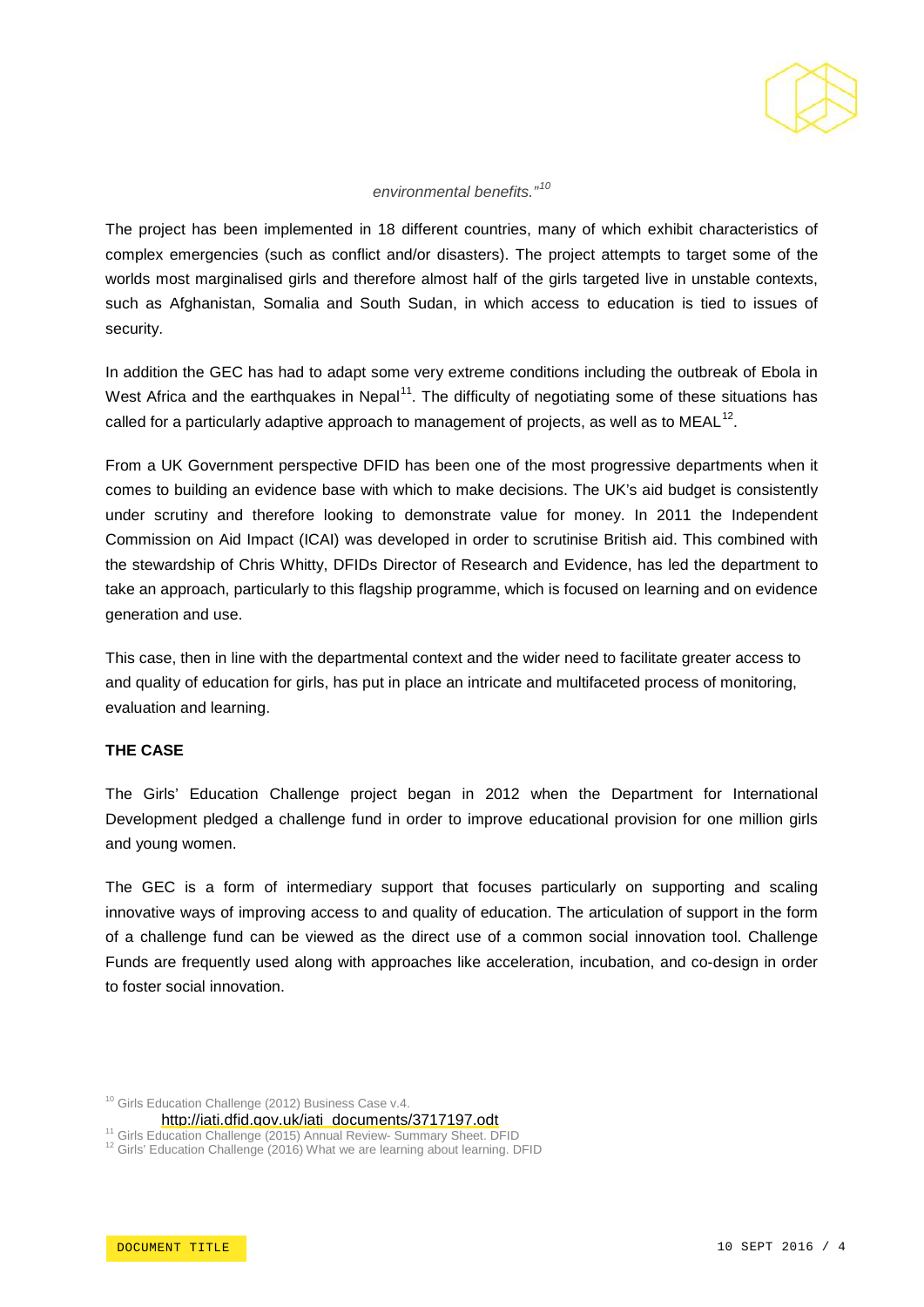

#### *environmental benefits."[10](#page-3-0)*

The project has been implemented in 18 different countries, many of which exhibit characteristics of complex emergencies (such as conflict and/or disasters). The project attempts to target some of the worlds most marginalised girls and therefore almost half of the girls targeted live in unstable contexts, such as Afghanistan, Somalia and South Sudan, in which access to education is tied to issues of security.

In addition the GEC has had to adapt some very extreme conditions including the outbreak of Ebola in West Africa and the earthquakes in Nepal<sup>[11](#page-3-0)</sup>. The difficulty of negotiating some of these situations has called for a particularly adaptive approach to management of projects, as well as to MEAL<sup>12</sup>.

From a UK Government perspective DFID has been one of the most progressive departments when it comes to building an evidence base with which to make decisions. The UK's aid budget is consistently under scrutiny and therefore looking to demonstrate value for money. In 2011 the Independent Commission on Aid Impact (ICAI) was developed in order to scrutinise British aid. This combined with the stewardship of Chris Whitty, DFIDs Director of Research and Evidence, has led the department to take an approach, particularly to this flagship programme, which is focused on learning and on evidence generation and use.

This case, then in line with the departmental context and the wider need to facilitate greater access to and quality of education for girls, has put in place an intricate and multifaceted process of monitoring, evaluation and learning.

#### **THE CASE**

The Girls' Education Challenge project began in 2012 when the Department for International Development pledged a challenge fund in order to improve educational provision for one million girls and young women.

The GEC is a form of intermediary support that focuses particularly on supporting and scaling innovative ways of improving access to and quality of education. The articulation of support in the form of a challenge fund can be viewed as the direct use of a common social innovation tool. Challenge Funds are frequently used along with approaches like acceleration, incubation, and co-design in order to foster social innovation.

<span id="page-3-0"></span><sup>10</sup> Girls Education Challenge (2012) Business Case v.4.

[http://iati.dfid.gov.uk/iati\\_documents/3717197.odt](http://iati.dfid.gov.uk/iati_documents/3717197.odt)<br><sup>11</sup> Girls Education Challenge (2015) Annual Review- Summary Sheet. DFID<br><sup>12</sup> Girls' Education Challenge (2016) What we are learning about learning. DFID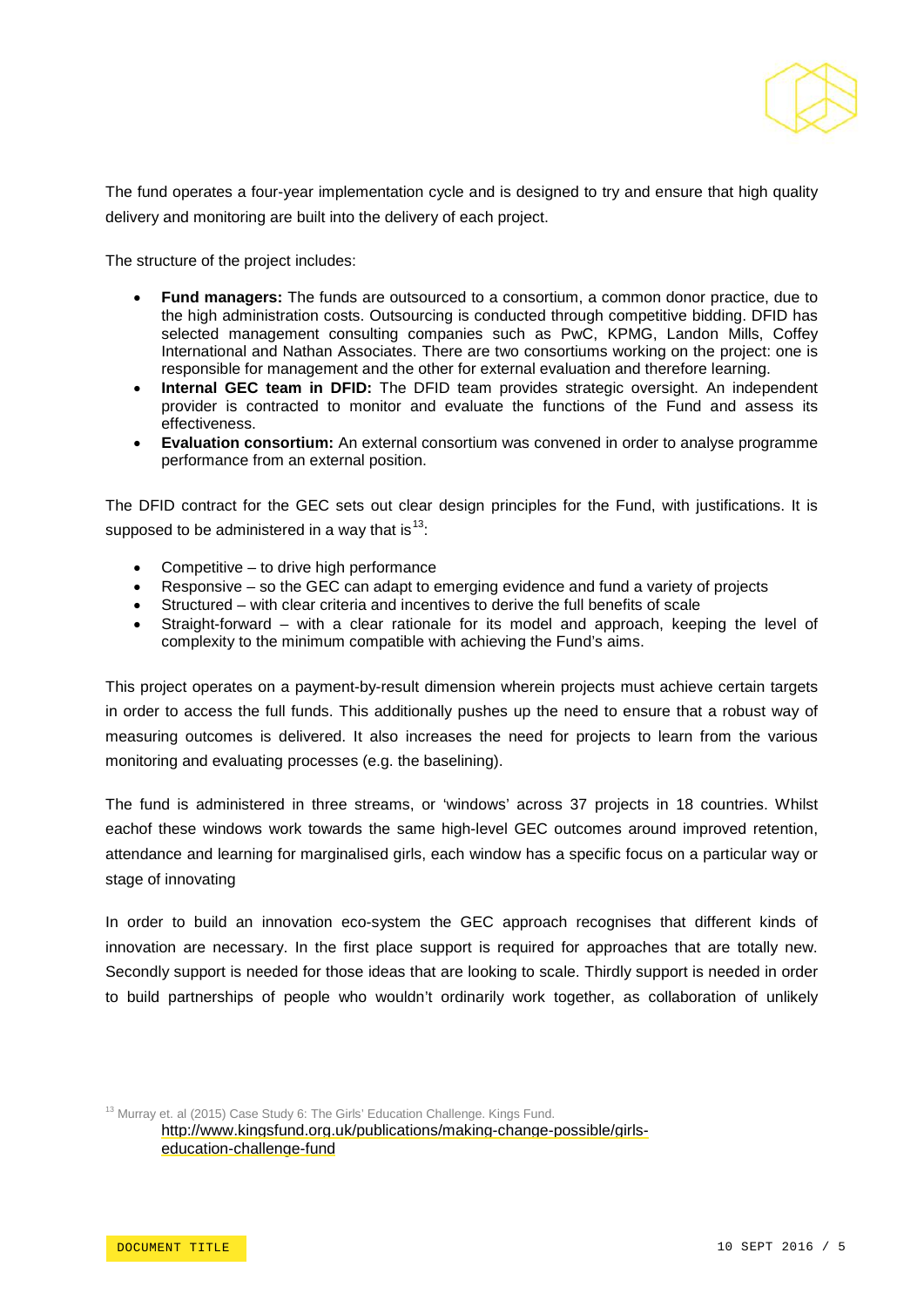

The fund operates a four-year implementation cycle and is designed to try and ensure that high quality delivery and monitoring are built into the delivery of each project.

The structure of the project includes:

- **Fund managers:** The funds are outsourced to a consortium, a common donor practice, due to the high administration costs. Outsourcing is conducted through competitive bidding. DFID has selected management consulting companies such as PwC, KPMG, Landon Mills, Coffey International and Nathan Associates. There are two consortiums working on the project: one is responsible for management and the other for external evaluation and therefore learning.
- **Internal GEC team in DFID:** The DFID team provides strategic oversight. An independent provider is contracted to monitor and evaluate the functions of the Fund and assess its effectiveness.
- **Evaluation consortium:** An external consortium was convened in order to analyse programme performance from an external position.

The DFID contract for the GEC sets out clear design principles for the Fund, with justifications. It is supposed to be administered in a way that is  $13$ :

- Competitive to drive high performance
- Responsive so the GEC can adapt to emerging evidence and fund a variety of projects
- Structured with clear criteria and incentives to derive the full benefits of scale
- Straight-forward with a clear rationale for its model and approach, keeping the level of complexity to the minimum compatible with achieving the Fund's aims.

This project operates on a payment-by-result dimension wherein projects must achieve certain targets in order to access the full funds. This additionally pushes up the need to ensure that a robust way of measuring outcomes is delivered. It also increases the need for projects to learn from the various monitoring and evaluating processes (e.g. the baselining).

The fund is administered in three streams, or 'windows' across 37 projects in 18 countries. Whilst eachof these windows work towards the same high-level GEC outcomes around improved retention, attendance and learning for marginalised girls, each window has a specific focus on a particular way or stage of innovating

In order to build an innovation eco-system the GEC approach recognises that different kinds of innovation are necessary. In the first place support is required for approaches that are totally new. Secondly support is needed for those ideas that are looking to scale. Thirdly support is needed in order to build partnerships of people who wouldn't ordinarily work together, as collaboration of unlikely

<span id="page-4-0"></span><sup>13</sup> Murray et. al (2015) Case Study 6: The Girls' Education Challenge. Kings Fund. [http://www.kingsfund.org.uk/publications/making-change-possible/girls](http://www.kingsfund.org.uk/publications/making-change-possible/girls-education-challenge-fund)[education-challenge-fund](http://www.kingsfund.org.uk/publications/making-change-possible/girls-education-challenge-fund)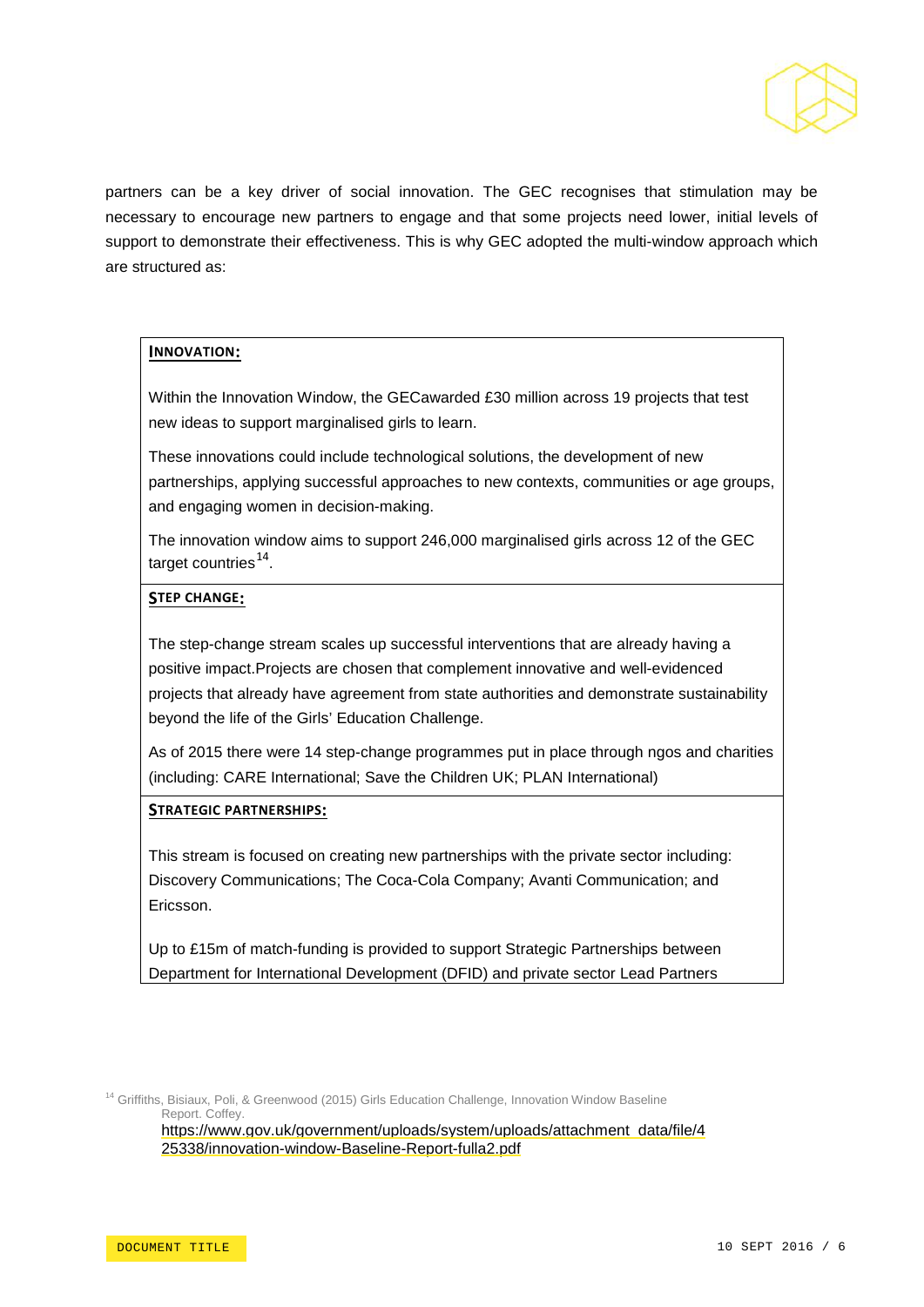

partners can be a key driver of social innovation. The GEC recognises that stimulation may be necessary to encourage new partners to engage and that some projects need lower, initial levels of support to demonstrate their effectiveness. This is why GEC adopted the multi-window approach which are structured as:

#### **INNOVATION:**

Within the Innovation Window, the GECawarded £30 million across 19 projects that test new ideas to support marginalised girls to learn.

These innovations could include technological solutions, the development of new partnerships, applying successful approaches to new contexts, communities or age groups, and engaging women in decision-making.

The innovation window aims to support 246,000 marginalised girls across 12 of the GEC target countries $^{14}$  $^{14}$  $^{14}$ .

#### **STEP CHANGE:**

The step-change stream scales up successful interventions that are already having a positive impact.Projects are chosen that complement innovative and well-evidenced projects that already have agreement from state authorities and demonstrate sustainability beyond the life of the Girls' Education Challenge.

As of 2015 there were 14 step-change programmes put in place through ngos and charities (including: CARE International; Save the Children UK; PLAN International)

#### **STRATEGIC PARTNERSHIPS:**

This stream is focused on creating new partnerships with the private sector including: Discovery Communications; The Coca-Cola Company; Avanti Communication; and Ericsson.

Up to £15m of match-funding is provided to support Strategic Partnerships between Department for International Development (DFID) and private sector Lead Partners

<span id="page-5-0"></span><sup>14</sup> Griffiths, Bisiaux, Poli, & Greenwood (2015) Girls Education Challenge, Innovation Window Baseline Report. Coffey.

[https://www.gov.uk/government/uploads/system/uploads/attachment\\_data/file/4](https://www.gov.uk/government/uploads/system/uploads/attachment_data/file/425338/innovation-window-Baseline-Report-fulla2.pdf) [25338/innovation-window-Baseline-Report-fulla2.pdf](https://www.gov.uk/government/uploads/system/uploads/attachment_data/file/425338/innovation-window-Baseline-Report-fulla2.pdf)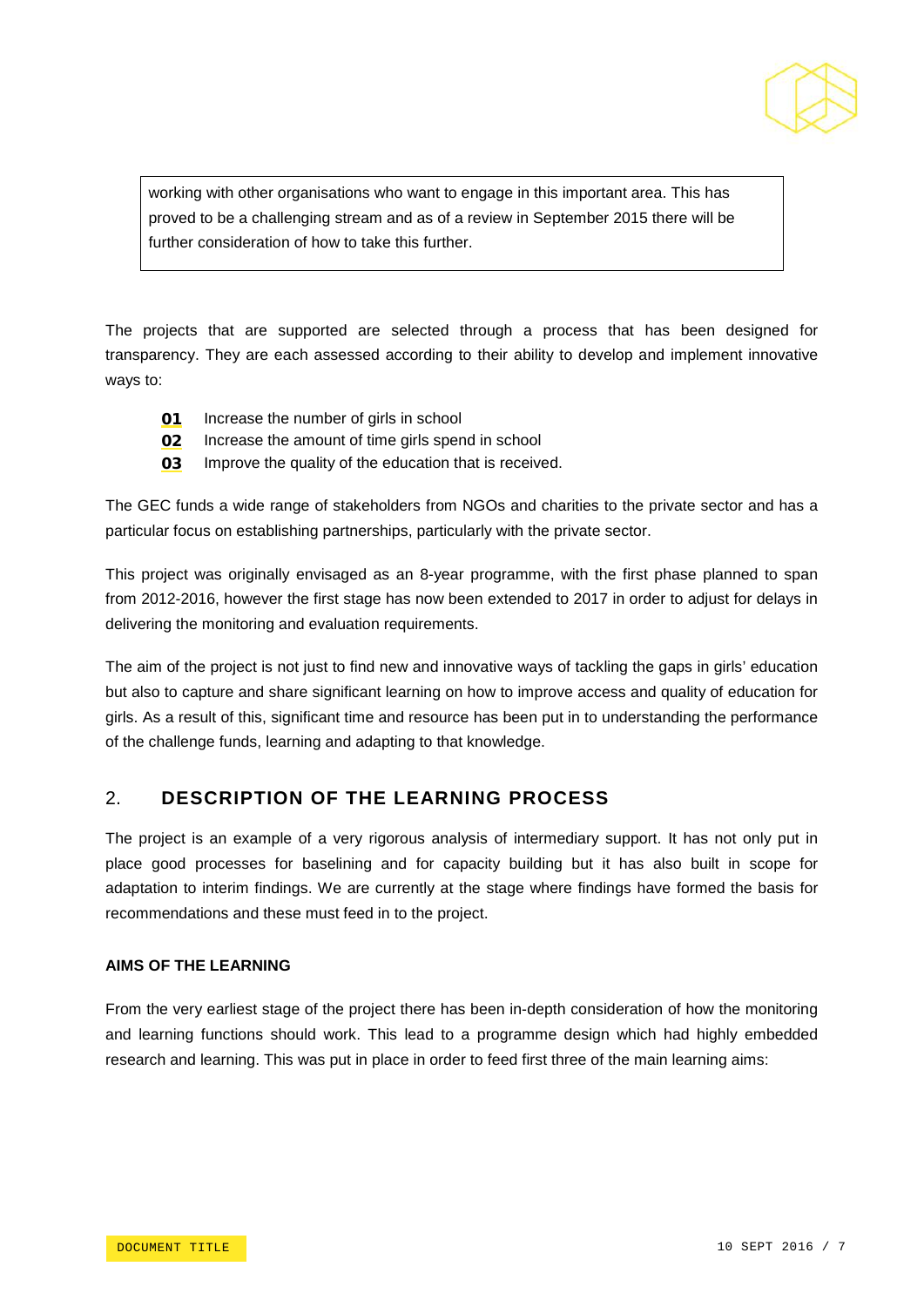

working with other organisations who want to engage in this important area. This has proved to be a challenging stream and as of a review in September 2015 there will be further consideration of how to take this further.

The projects that are supported are selected through a process that has been designed for transparency. They are each assessed according to their ability to develop and implement innovative ways to:

- **01** Increase the number of girls in school
- **02** Increase the amount of time girls spend in school
- **03** Improve the quality of the education that is received.

The GEC funds a wide range of stakeholders from NGOs and charities to the private sector and has a particular focus on establishing partnerships, particularly with the private sector.

This project was originally envisaged as an 8-year programme, with the first phase planned to span from 2012-2016, however the first stage has now been extended to 2017 in order to adjust for delays in delivering the monitoring and evaluation requirements.

The aim of the project is not just to find new and innovative ways of tackling the gaps in girls' education but also to capture and share significant learning on how to improve access and quality of education for girls. As a result of this, significant time and resource has been put in to understanding the performance of the challenge funds, learning and adapting to that knowledge.

# 2. **DESCRIPTION OF THE LEARNING PROCESS**

The project is an example of a very rigorous analysis of intermediary support. It has not only put in place good processes for baselining and for capacity building but it has also built in scope for adaptation to interim findings. We are currently at the stage where findings have formed the basis for recommendations and these must feed in to the project.

### **AIMS OF THE LEARNING**

From the very earliest stage of the project there has been in-depth consideration of how the monitoring and learning functions should work. This lead to a programme design which had highly embedded research and learning. This was put in place in order to feed first three of the main learning aims: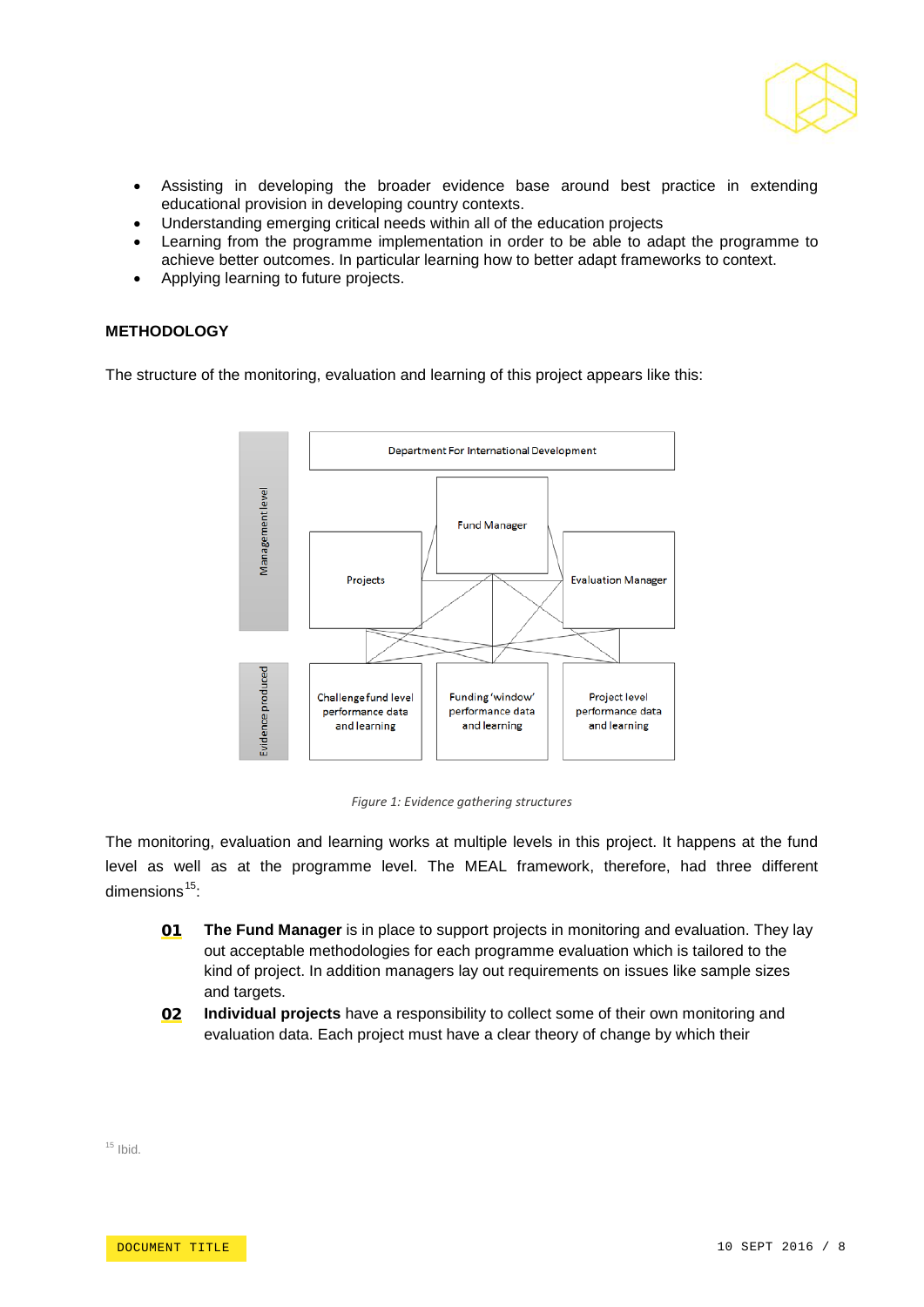

- Assisting in developing the broader evidence base around best practice in extending educational provision in developing country contexts.
- Understanding emerging critical needs within all of the education projects
- Learning from the programme implementation in order to be able to adapt the programme to achieve better outcomes. In particular learning how to better adapt frameworks to context.
- Applying learning to future projects.

#### **METHODOLOGY**

The structure of the monitoring, evaluation and learning of this project appears like this:



*Figure 1: Evidence gathering structures*

The monitoring, evaluation and learning works at multiple levels in this project. It happens at the fund level as well as at the programme level. The MEAL framework, therefore, had three different dimensions $15$ :

- 01 **The Fund Manager** is in place to support projects in monitoring and evaluation. They lay out acceptable methodologies for each programme evaluation which is tailored to the kind of project. In addition managers lay out requirements on issues like sample sizes and targets.
- 02 **Individual projects** have a responsibility to collect some of their own monitoring and evaluation data. Each project must have a clear theory of change by which their

<span id="page-7-0"></span> $15$  Ibid.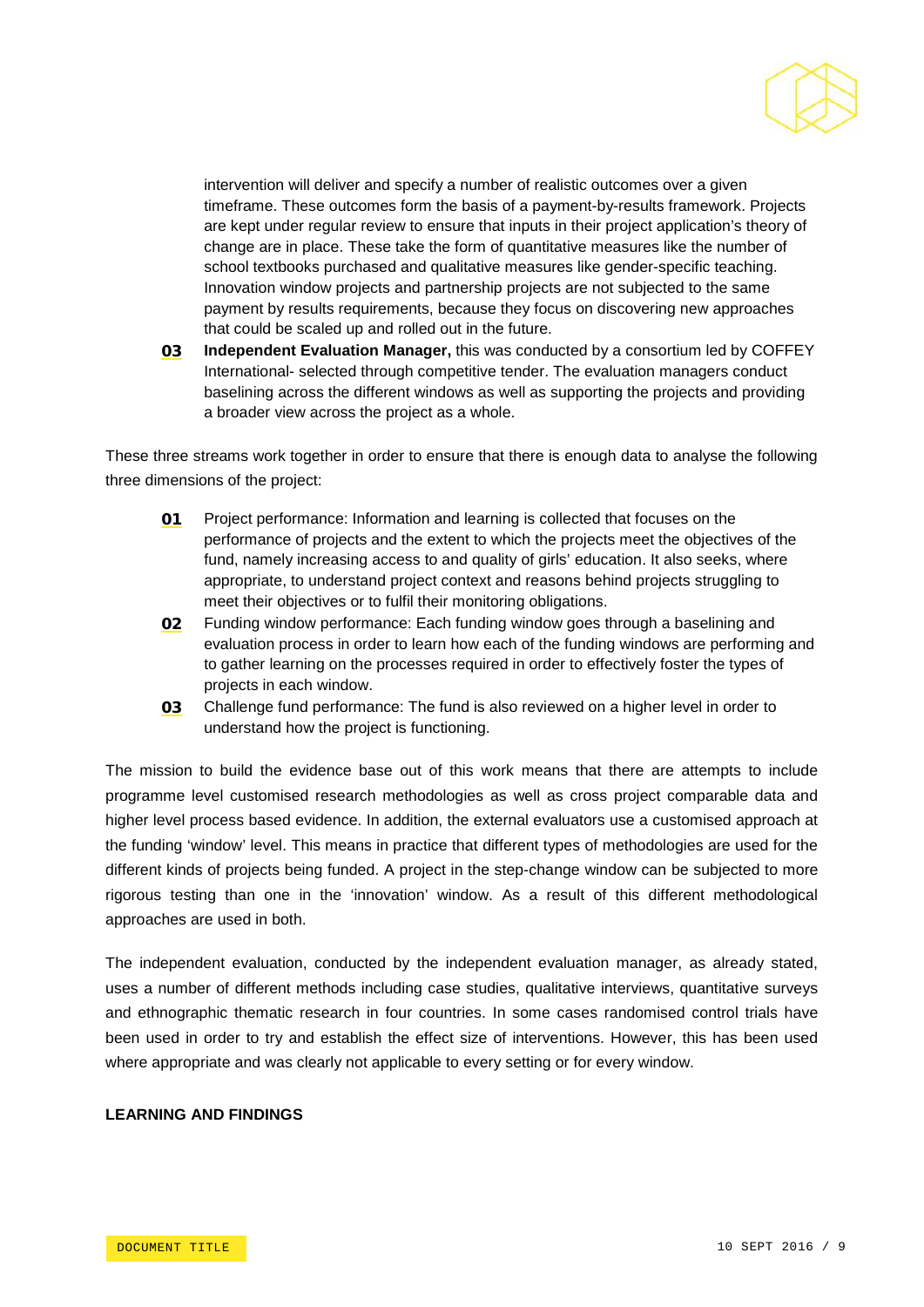

intervention will deliver and specify a number of realistic outcomes over a given timeframe. These outcomes form the basis of a payment-by-results framework. Projects are kept under regular review to ensure that inputs in their project application's theory of change are in place. These take the form of quantitative measures like the number of school textbooks purchased and qualitative measures like gender-specific teaching. Innovation window projects and partnership projects are not subjected to the same payment by results requirements, because they focus on discovering new approaches that could be scaled up and rolled out in the future.

03 **Independent Evaluation Manager,** this was conducted by a consortium led by COFFEY International- selected through competitive tender. The evaluation managers conduct baselining across the different windows as well as supporting the projects and providing a broader view across the project as a whole.

These three streams work together in order to ensure that there is enough data to analyse the following three dimensions of the project:

- 01 Project performance: Information and learning is collected that focuses on the performance of projects and the extent to which the projects meet the objectives of the fund, namely increasing access to and quality of girls' education. It also seeks, where appropriate, to understand project context and reasons behind projects struggling to meet their objectives or to fulfil their monitoring obligations.
- 02 Funding window performance: Each funding window goes through a baselining and evaluation process in order to learn how each of the funding windows are performing and to gather learning on the processes required in order to effectively foster the types of projects in each window.
- 03 Challenge fund performance: The fund is also reviewed on a higher level in order to understand how the project is functioning.

The mission to build the evidence base out of this work means that there are attempts to include programme level customised research methodologies as well as cross project comparable data and higher level process based evidence. In addition, the external evaluators use a customised approach at the funding 'window' level. This means in practice that different types of methodologies are used for the different kinds of projects being funded. A project in the step-change window can be subjected to more rigorous testing than one in the 'innovation' window. As a result of this different methodological approaches are used in both.

The independent evaluation, conducted by the independent evaluation manager, as already stated, uses a number of different methods including case studies, qualitative interviews, quantitative surveys and ethnographic thematic research in four countries. In some cases randomised control trials have been used in order to try and establish the effect size of interventions. However, this has been used where appropriate and was clearly not applicable to every setting or for every window.

#### **LEARNING AND FINDINGS**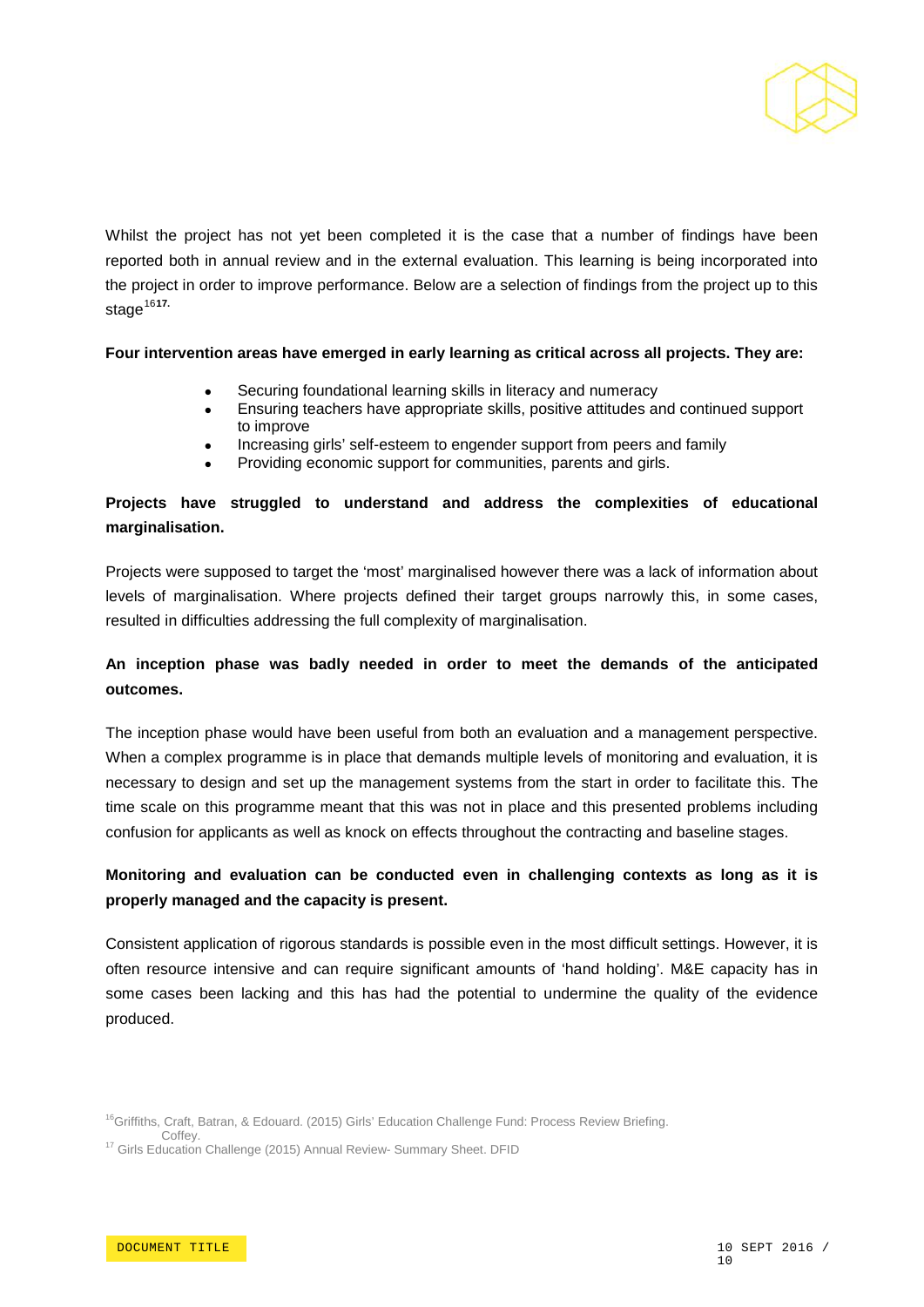

Whilst the project has not yet been completed it is the case that a number of findings have been reported both in annual review and in the external evaluation. This learning is being incorporated into the project in order to improve performance. Below are a selection of findings from the project up to this stage<sup>[16](#page-9-0)[17.](#page-9-0)</sup>

#### **Four intervention areas have emerged in early learning as critical across all projects. They are:**

- Securing foundational learning skills in literacy and numeracy
- Ensuring teachers have appropriate skills, positive attitudes and continued support to improve
- Increasing girls' self-esteem to engender support from peers and family
- Providing economic support for communities, parents and girls.

# **Projects have struggled to understand and address the complexities of educational marginalisation.**

Projects were supposed to target the 'most' marginalised however there was a lack of information about levels of marginalisation. Where projects defined their target groups narrowly this, in some cases, resulted in difficulties addressing the full complexity of marginalisation.

# **An inception phase was badly needed in order to meet the demands of the anticipated outcomes.**

The inception phase would have been useful from both an evaluation and a management perspective. When a complex programme is in place that demands multiple levels of monitoring and evaluation, it is necessary to design and set up the management systems from the start in order to facilitate this. The time scale on this programme meant that this was not in place and this presented problems including confusion for applicants as well as knock on effects throughout the contracting and baseline stages.

# **Monitoring and evaluation can be conducted even in challenging contexts as long as it is properly managed and the capacity is present.**

Consistent application of rigorous standards is possible even in the most difficult settings. However, it is often resource intensive and can require significant amounts of 'hand holding'. M&E capacity has in some cases been lacking and this has had the potential to undermine the quality of the evidence produced.

<span id="page-9-0"></span><sup>&</sup>lt;sup>16</sup>Griffiths, Craft, Batran, & Edouard. (2015) Girls' Education Challenge Fund: Process Review Briefing.<br>Coffey.

<sup>&</sup>lt;sup>17</sup> Girls Education Challenge (2015) Annual Review- Summary Sheet. DFID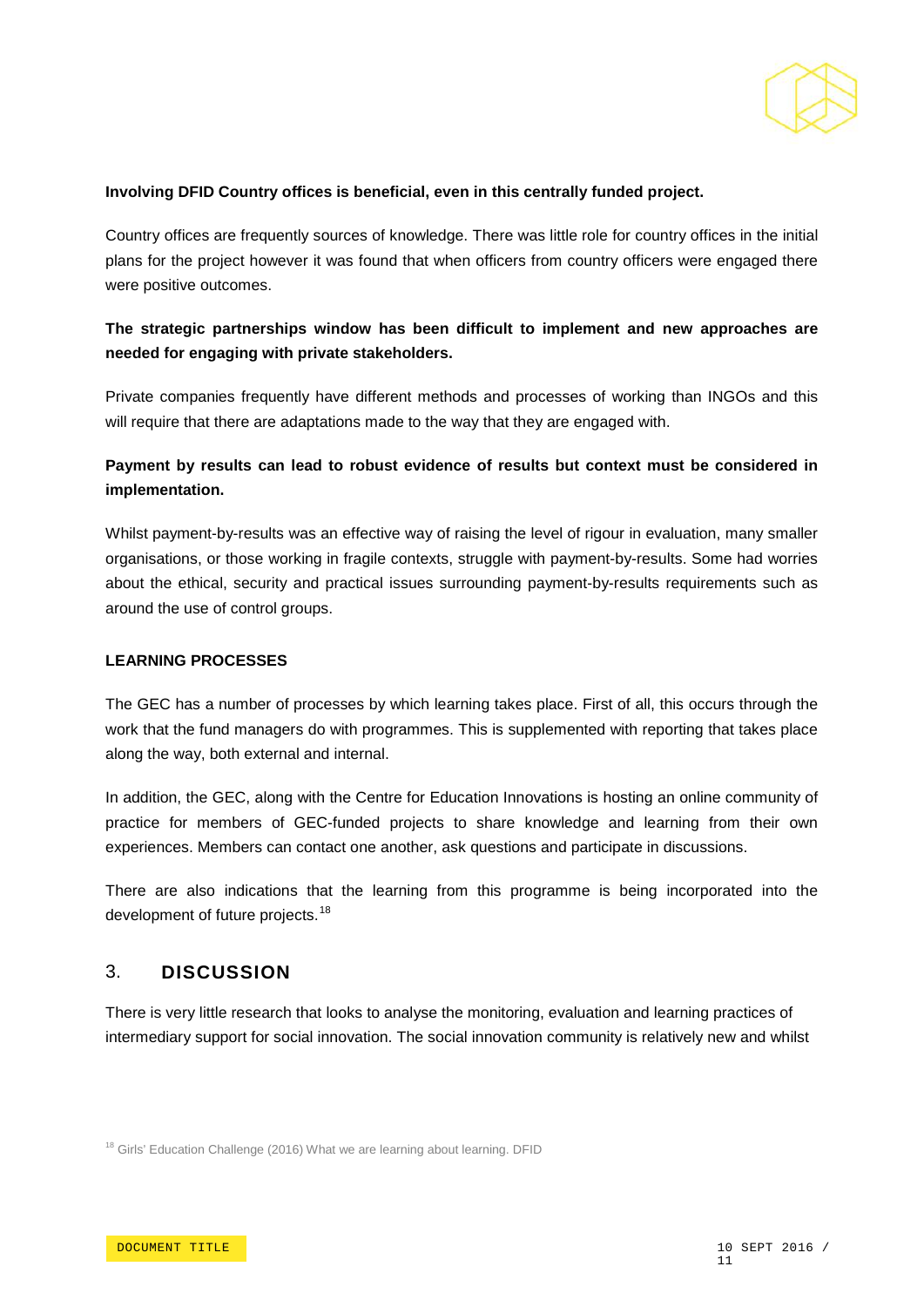

#### **Involving DFID Country offices is beneficial, even in this centrally funded project.**

Country offices are frequently sources of knowledge. There was little role for country offices in the initial plans for the project however it was found that when officers from country officers were engaged there were positive outcomes.

# **The strategic partnerships window has been difficult to implement and new approaches are needed for engaging with private stakeholders.**

Private companies frequently have different methods and processes of working than INGOs and this will require that there are adaptations made to the way that they are engaged with.

# **Payment by results can lead to robust evidence of results but context must be considered in implementation.**

Whilst payment-by-results was an effective way of raising the level of rigour in evaluation, many smaller organisations, or those working in fragile contexts, struggle with payment-by-results. Some had worries about the ethical, security and practical issues surrounding payment-by-results requirements such as around the use of control groups.

#### **LEARNING PROCESSES**

The GEC has a number of processes by which learning takes place. First of all, this occurs through the work that the fund managers do with programmes. This is supplemented with reporting that takes place along the way, both external and internal.

In addition, the GEC, along with the Centre for Education Innovations is hosting an online community of practice for members of GEC-funded projects to share knowledge and learning from their own experiences. Members can contact one another, ask questions and participate in discussions.

There are also indications that the learning from this programme is being incorporated into the development of future projects.<sup>[18](#page-10-0)</sup>

# 3. **DISCUSSION**

There is very little research that looks to analyse the monitoring, evaluation and learning practices of intermediary support for social innovation. The social innovation community is relatively new and whilst

<span id="page-10-0"></span><sup>&</sup>lt;sup>18</sup> Girls' Education Challenge (2016) What we are learning about learning. DFID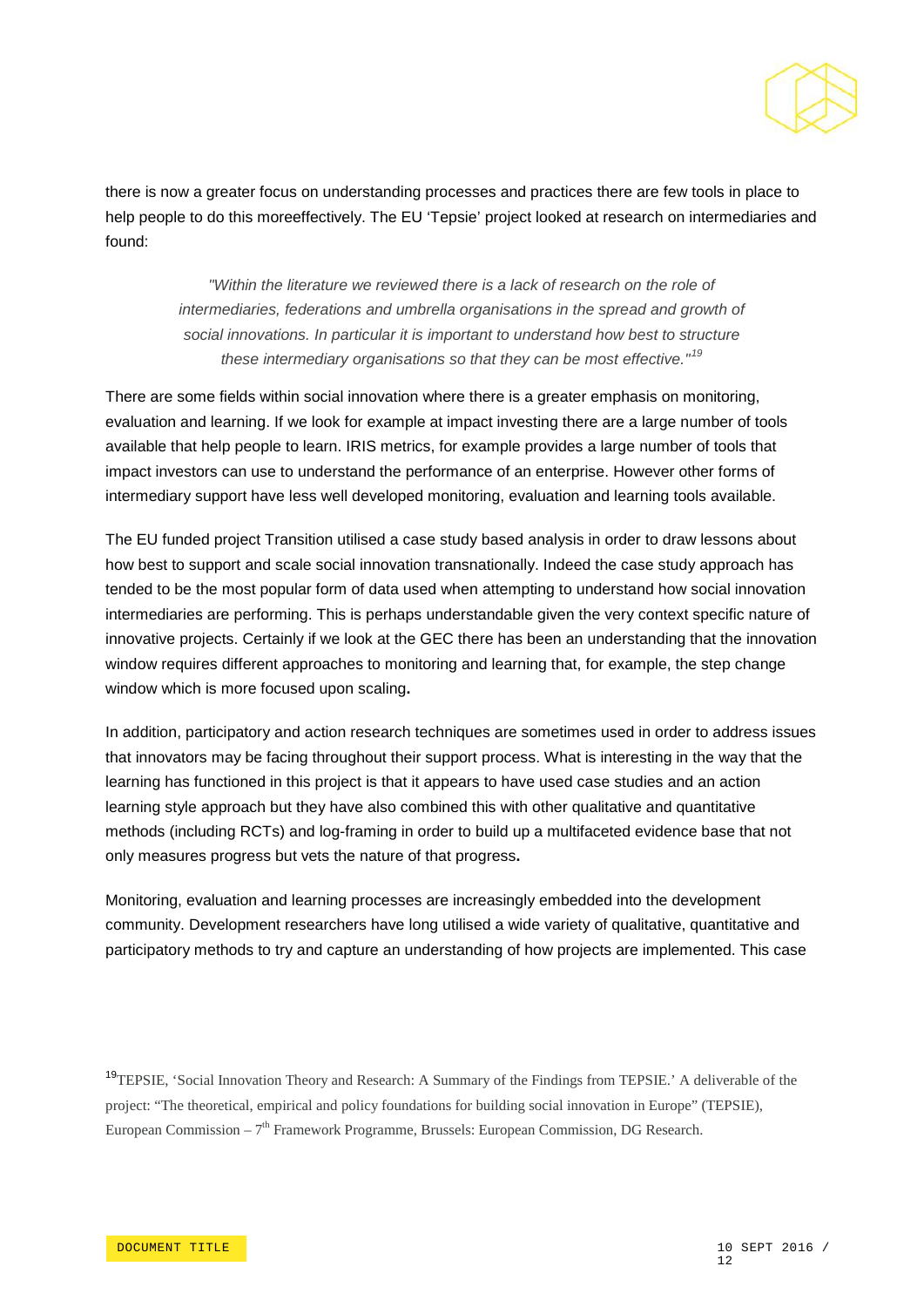

there is now a greater focus on understanding processes and practices there are few tools in place to help people to do this moreeffectively. The EU 'Tepsie' project looked at research on intermediaries and found:

> *"Within the literature we reviewed there is a lack of research on the role of intermediaries, federations and umbrella organisations in the spread and growth of social innovations. In particular it is important to understand how best to structure these intermediary organisations so that they can be most effective."[19](#page-11-0)*

There are some fields within social innovation where there is a greater emphasis on monitoring, evaluation and learning. If we look for example at impact investing there are a large number of tools available that help people to learn. IRIS metrics, for example provides a large number of tools that impact investors can use to understand the performance of an enterprise. However other forms of intermediary support have less well developed monitoring, evaluation and learning tools available.

The EU funded project Transition utilised a case study based analysis in order to draw lessons about how best to support and scale social innovation transnationally. Indeed the case study approach has tended to be the most popular form of data used when attempting to understand how social innovation intermediaries are performing. This is perhaps understandable given the very context specific nature of innovative projects. Certainly if we look at the GEC there has been an understanding that the innovation window requires different approaches to monitoring and learning that, for example, the step change window which is more focused upon scaling**.**

In addition, participatory and action research techniques are sometimes used in order to address issues that innovators may be facing throughout their support process. What is interesting in the way that the learning has functioned in this project is that it appears to have used case studies and an action learning style approach but they have also combined this with other qualitative and quantitative methods (including RCTs) and log-framing in order to build up a multifaceted evidence base that not only measures progress but vets the nature of that progress**.**

Monitoring, evaluation and learning processes are increasingly embedded into the development community. Development researchers have long utilised a wide variety of qualitative, quantitative and participatory methods to try and capture an understanding of how projects are implemented. This case

<span id="page-11-0"></span><sup>19</sup>TEPSIE, 'Social Innovation Theory and Research: A Summary of the Findings from TEPSIE.' A deliverable of the project: "The theoretical, empirical and policy foundations for building social innovation in Europe" (TEPSIE), European Commission –  $7<sup>th</sup>$  Framework Programme, Brussels: European Commission, DG Research.